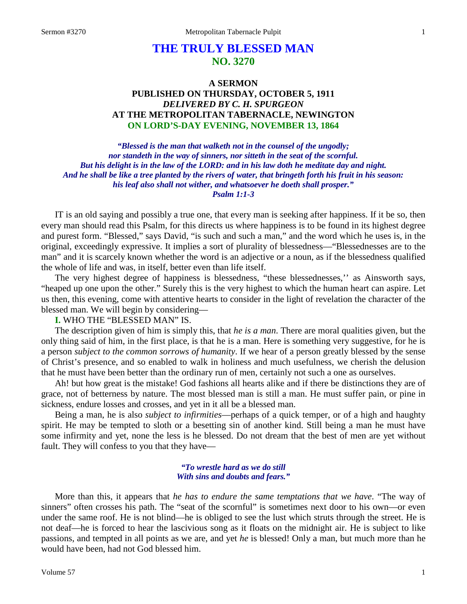# **THE TRULY BLESSED MAN NO. 3270**

# **A SERMON PUBLISHED ON THURSDAY, OCTOBER 5, 1911** *DELIVERED BY C. H. SPURGEON* **AT THE METROPOLITAN TABERNACLE, NEWINGTON ON LORD'S-DAY EVENING, NOVEMBER 13, 1864**

*"Blessed is the man that walketh not in the counsel of the ungodly; nor standeth in the way of sinners, nor sitteth in the seat of the scornful. But his delight is in the law of the LORD: and in his law doth he meditate day and night. And he shall be like a tree planted by the rivers of water, that bringeth forth his fruit in his season: his leaf also shall not wither, and whatsoever he doeth shall prosper." Psalm 1:1-3*

IT is an old saying and possibly a true one, that every man is seeking after happiness. If it be so, then every man should read this Psalm, for this directs us where happiness is to be found in its highest degree and purest form. "Blessed," says David, "is such and such a man," and the word which he uses is, in the original, exceedingly expressive. It implies a sort of plurality of blessedness—"Blessednesses are to the man" and it is scarcely known whether the word is an adjective or a noun, as if the blessedness qualified the whole of life and was, in itself, better even than life itself.

The very highest degree of happiness is blessedness, "these blessednesses,'' as Ainsworth says, "heaped up one upon the other." Surely this is the very highest to which the human heart can aspire. Let us then, this evening, come with attentive hearts to consider in the light of revelation the character of the blessed man. We will begin by considering—

# **I.** WHO THE "BLESSED MAN" IS.

The description given of him is simply this, that *he is a man*. There are moral qualities given, but the only thing said of him, in the first place, is that he is a man. Here is something very suggestive, for he is a person *subject to the common sorrows of humanity*. If we hear of a person greatly blessed by the sense of Christ's presence, and so enabled to walk in holiness and much usefulness, we cherish the delusion that he must have been better than the ordinary run of men, certainly not such a one as ourselves.

Ah! but how great is the mistake! God fashions all hearts alike and if there be distinctions they are of grace, not of betterness by nature. The most blessed man is still a man. He must suffer pain, or pine in sickness, endure losses and crosses, and yet in it all be a blessed man.

Being a man, he is also *subject to infirmities*—perhaps of a quick temper, or of a high and haughty spirit. He may be tempted to sloth or a besetting sin of another kind. Still being a man he must have some infirmity and yet, none the less is he blessed. Do not dream that the best of men are yet without fault. They will confess to you that they have—

#### *"To wrestle hard as we do still With sins and doubts and fears."*

More than this, it appears that *he has to endure the same temptations that we have*. "The way of sinners" often crosses his path. The "seat of the scornful" is sometimes next door to his own—or even under the same roof. He is not blind—he is obliged to see the lust which struts through the street. He is not deaf—he is forced to hear the lascivious song as it floats on the midnight air. He is subject to like passions, and tempted in all points as we are, and yet *he* is blessed! Only a man, but much more than he would have been, had not God blessed him.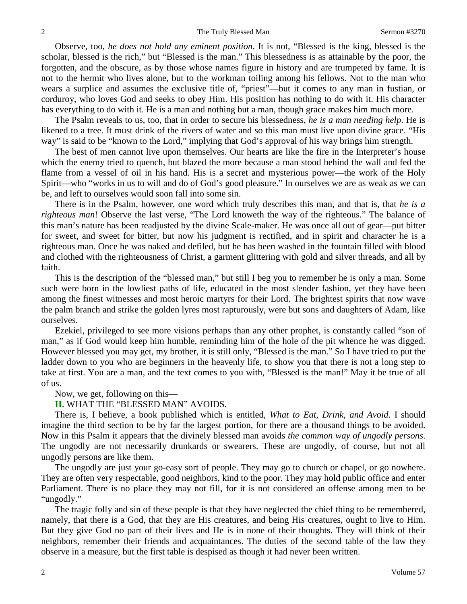Observe, too, *he does not hold any eminent position*. It is not, "Blessed is the king, blessed is the scholar, blessed is the rich," but "Blessed is the man." This blessedness is as attainable by the poor, the forgotten, and the obscure, as by those whose names figure in history and are trumpeted by fame. It is not to the hermit who lives alone, but to the workman toiling among his fellows. Not to the man who wears a surplice and assumes the exclusive title of, "priest"—but it comes to any man in fustian, or corduroy, who loves God and seeks to obey Him. His position has nothing to do with it. His character has everything to do with it. He is a man and nothing but a man, though grace makes him much more.

The Psalm reveals to us, too, that in order to secure his blessedness, *he is a man needing help*. He is likened to a tree. It must drink of the rivers of water and so this man must live upon divine grace. "His way" is said to be "known to the Lord," implying that God's approval of his way brings him strength.

The best of men cannot live upon themselves. Our hearts are like the fire in the Interpreter's house which the enemy tried to quench, but blazed the more because a man stood behind the wall and fed the flame from a vessel of oil in his hand. His is a secret and mysterious power—the work of the Holy Spirit—who "works in us to will and do of God's good pleasure." In ourselves we are as weak as we can be, and left to ourselves would soon fall into some sin.

There is in the Psalm, however, one word which truly describes this man, and that is, that *he is a righteous man*! Observe the last verse, "The Lord knoweth the way of the righteous." The balance of this man's nature has been readjusted by the divine Scale-maker. He was once all out of gear—put bitter for sweet, and sweet for bitter, but now his judgment is rectified, and in spirit and character he is a righteous man. Once he was naked and defiled, but he has been washed in the fountain filled with blood and clothed with the righteousness of Christ, a garment glittering with gold and silver threads, and all by faith.

This is the description of the "blessed man," but still I beg you to remember he is only a man. Some such were born in the lowliest paths of life, educated in the most slender fashion, yet they have been among the finest witnesses and most heroic martyrs for their Lord. The brightest spirits that now wave the palm branch and strike the golden lyres most rapturously, were but sons and daughters of Adam, like ourselves.

Ezekiel, privileged to see more visions perhaps than any other prophet, is constantly called "son of man," as if God would keep him humble, reminding him of the hole of the pit whence he was digged. However blessed you may get, my brother, it is still only, "Blessed is the man." So I have tried to put the ladder down to you who are beginners in the heavenly life, to show you that there is not a long step to take at first. You are a man, and the text comes to you with, "Blessed is the man!" May it be true of all of us.

Now, we get, following on this—

**II.** WHAT THE "BLESSED MAN" AVOIDS.

There is, I believe, a book published which is entitled, *What to Eat, Drink, and Avoid*. I should imagine the third section to be by far the largest portion, for there are a thousand things to be avoided. Now in this Psalm it appears that the divinely blessed man avoids *the common way of ungodly persons*. The ungodly are not necessarily drunkards or swearers. These are ungodly, of course, but not all ungodly persons are like them.

The ungodly are just your go-easy sort of people. They may go to church or chapel, or go nowhere. They are often very respectable, good neighbors, kind to the poor. They may hold public office and enter Parliament. There is no place they may not fill, for it is not considered an offense among men to be "ungodly."

The tragic folly and sin of these people is that they have neglected the chief thing to be remembered, namely, that there is a God, that they are His creatures, and being His creatures, ought to live to Him. But they give God no part of their lives and He is in none of their thoughts. They will think of their neighbors, remember their friends and acquaintances. The duties of the second table of the law they observe in a measure, but the first table is despised as though it had never been written.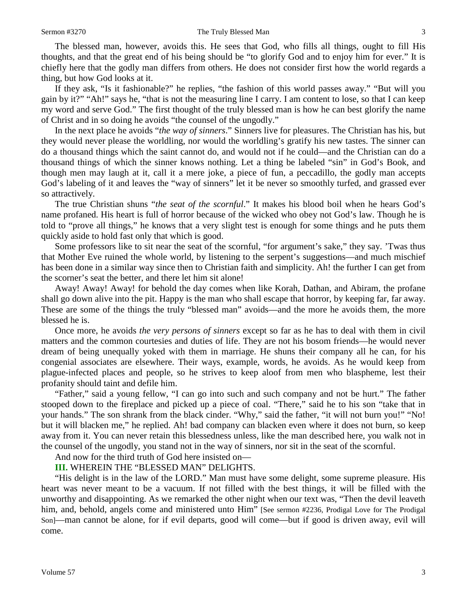The blessed man, however, avoids this. He sees that God, who fills all things, ought to fill His thoughts, and that the great end of his being should be "to glorify God and to enjoy him for ever." It is chiefly here that the godly man differs from others. He does not consider first how the world regards a thing, but how God looks at it.

If they ask, "Is it fashionable?" he replies, "the fashion of this world passes away." "But will you gain by it?" "Ah!" says he, "that is not the measuring line I carry. I am content to lose, so that I can keep my word and serve God." The first thought of the truly blessed man is how he can best glorify the name of Christ and in so doing he avoids "the counsel of the ungodly."

In the next place he avoids "*the way of sinners*." Sinners live for pleasures. The Christian has his, but they would never please the worldling, nor would the worldling's gratify his new tastes. The sinner can do a thousand things which the saint cannot do, and would not if he could—and the Christian can do a thousand things of which the sinner knows nothing. Let a thing be labeled "sin" in God's Book, and though men may laugh at it, call it a mere joke, a piece of fun, a peccadillo, the godly man accepts God's labeling of it and leaves the "way of sinners" let it be never so smoothly turfed, and grassed ever so attractively.

The true Christian shuns "*the seat of the scornful*." It makes his blood boil when he hears God's name profaned. His heart is full of horror because of the wicked who obey not God's law. Though he is told to "prove all things," he knows that a very slight test is enough for some things and he puts them quickly aside to hold fast only that which is good.

Some professors like to sit near the seat of the scornful, "for argument's sake," they say. 'Twas thus that Mother Eve ruined the whole world, by listening to the serpent's suggestions—and much mischief has been done in a similar way since then to Christian faith and simplicity. Ah! the further I can get from the scorner's seat the better, and there let him sit alone!

Away! Away! Away! for behold the day comes when like Korah, Dathan, and Abiram, the profane shall go down alive into the pit. Happy is the man who shall escape that horror, by keeping far, far away. These are some of the things the truly "blessed man" avoids—and the more he avoids them, the more blessed he is.

Once more, he avoids *the very persons of sinners* except so far as he has to deal with them in civil matters and the common courtesies and duties of life. They are not his bosom friends—he would never dream of being unequally yoked with them in marriage. He shuns their company all he can, for his congenial associates are elsewhere. Their ways, example, words, he avoids. As he would keep from plague-infected places and people, so he strives to keep aloof from men who blaspheme, lest their profanity should taint and defile him.

"Father," said a young fellow, "I can go into such and such company and not be hurt." The father stooped down to the fireplace and picked up a piece of coal. "There," said he to his son "take that in your hands." The son shrank from the black cinder. "Why," said the father, "it will not burn you!" "No! but it will blacken me," he replied. Ah! bad company can blacken even where it does not burn, so keep away from it. You can never retain this blessedness unless, like the man described here, you walk not in the counsel of the ungodly, you stand not in the way of sinners, nor sit in the seat of the scornful.

And now for the third truth of God here insisted on—

**III.** WHEREIN THE "BLESSED MAN" DELIGHTS.

"His delight is in the law of the LORD." Man must have some delight, some supreme pleasure. His heart was never meant to be a vacuum. If not filled with the best things, it will be filled with the unworthy and disappointing. As we remarked the other night when our text was, "Then the devil leaveth him, and, behold, angels come and ministered unto Him" [See sermon #2236, Prodigal Love for The Prodigal Son]—man cannot be alone, for if evil departs, good will come—but if good is driven away, evil will come.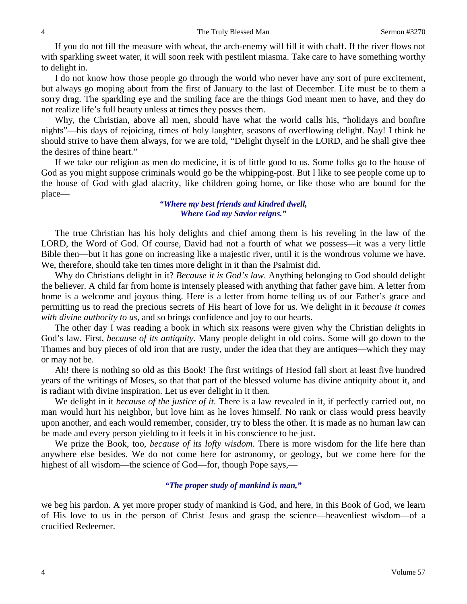If you do not fill the measure with wheat, the arch-enemy will fill it with chaff. If the river flows not with sparkling sweet water, it will soon reek with pestilent miasma. Take care to have something worthy to delight in.

I do not know how those people go through the world who never have any sort of pure excitement, but always go moping about from the first of January to the last of December. Life must be to them a sorry drag. The sparkling eye and the smiling face are the things God meant men to have, and they do not realize life's full beauty unless at times they posses them.

Why, the Christian, above all men, should have what the world calls his, "holidays and bonfire nights"—his days of rejoicing, times of holy laughter, seasons of overflowing delight. Nay! I think he should strive to have them always, for we are told, "Delight thyself in the LORD, and he shall give thee the desires of thine heart."

If we take our religion as men do medicine, it is of little good to us. Some folks go to the house of God as you might suppose criminals would go be the whipping-post. But I like to see people come up to the house of God with glad alacrity, like children going home, or like those who are bound for the place—

#### *"Where my best friends and kindred dwell, Where God my Savior reigns."*

The true Christian has his holy delights and chief among them is his reveling in the law of the LORD, the Word of God. Of course, David had not a fourth of what we possess—it was a very little Bible then—but it has gone on increasing like a majestic river, until it is the wondrous volume we have. We, therefore, should take ten times more delight in it than the Psalmist did.

Why do Christians delight in it? *Because it is God's law*. Anything belonging to God should delight the believer. A child far from home is intensely pleased with anything that father gave him. A letter from home is a welcome and joyous thing. Here is a letter from home telling us of our Father's grace and permitting us to read the precious secrets of His heart of love for us. We delight in it *because it comes with divine authority to us*, and so brings confidence and joy to our hearts.

The other day I was reading a book in which six reasons were given why the Christian delights in God's law. First, *because of its antiquity*. Many people delight in old coins. Some will go down to the Thames and buy pieces of old iron that are rusty, under the idea that they are antiques—which they may or may not be.

Ah! there is nothing so old as this Book! The first writings of Hesiod fall short at least five hundred years of the writings of Moses, so that that part of the blessed volume has divine antiquity about it, and is radiant with divine inspiration. Let us ever delight in it then.

We delight in it *because of the justice of it*. There is a law revealed in it, if perfectly carried out, no man would hurt his neighbor, but love him as he loves himself. No rank or class would press heavily upon another, and each would remember, consider, try to bless the other. It is made as no human law can be made and every person yielding to it feels it in his conscience to be just.

We prize the Book, too, *because of its lofty wisdom*. There is more wisdom for the life here than anywhere else besides. We do not come here for astronomy, or geology, but we come here for the highest of all wisdom—the science of God—for, though Pope says,—

## *"The proper study of mankind is man,"*

we beg his pardon. A yet more proper study of mankind is God, and here, in this Book of God, we learn of His love to us in the person of Christ Jesus and grasp the science—heavenliest wisdom—of a crucified Redeemer.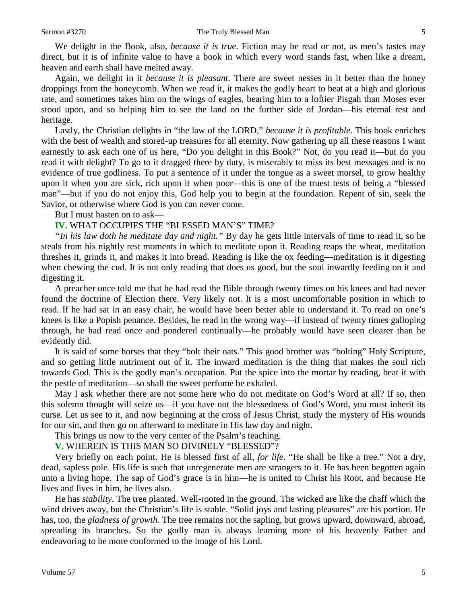We delight in the Book, also, *because it is true*. Fiction may be read or not, as men's tastes may direct, but it is of infinite value to have a book in which every word stands fast, when like a dream, heaven and earth shall have melted away.

Again, we delight in it *because it is pleasant*. There are sweet nesses in it better than the honey droppings from the honeycomb. When we read it, it makes the godly heart to beat at a high and glorious rate, and sometimes takes him on the wings of eagles, bearing him to a loftier Pisgah than Moses ever stood upon, and so helping him to see the land on the further side of Jordan—his eternal rest and heritage.

Lastly, the Christian delights in "the law of the LORD," *because it is profitable*. This book enriches with the best of wealth and stored-up treasures for all eternity. Now gathering up all these reasons I want earnestly to ask each one of us here, "Do you delight in this Book?" Not, do you read it—but do you read it with delight? To go to it dragged there by duty, is miserably to miss its best messages and is no evidence of true godliness. To put a sentence of it under the tongue as a sweet morsel, to grow healthy upon it when you are sick, rich upon it when poor—this is one of the truest tests of being a "blessed man"—but if you do not enjoy this, God help you to begin at the foundation. Repent of sin, seek the Savior, or otherwise where God is you can never come.

But I must hasten on to ask—

#### **IV.** WHAT OCCUPIES THE "BLESSED MAN'S" TIME?

*"In his law doth he meditate day and night."* By day he gets little intervals of time to read it, so he steals from his nightly rest moments in which to meditate upon it. Reading reaps the wheat, meditation threshes it, grinds it, and makes it into bread. Reading is like the ox feeding—meditation is it digesting when chewing the cud. It is not only reading that does us good, but the soul inwardly feeding on it and digesting it.

A preacher once told me that he had read the Bible through twenty times on his knees and had never found the doctrine of Election there. Very likely not. It is a most uncomfortable position in which to read. If he had sat in an easy chair, he would have been better able to understand it. To read on one's knees is like a Popish penance. Besides, he read in the wrong way—if instead of twenty times galloping through, he had read once and pondered continually—he probably would have seen clearer than he evidently did.

It is said of some horses that they "bolt their oats." This good brother was "bolting" Holy Scripture, and so getting little nutriment out of it. The inward meditation is the thing that makes the soul rich towards God. This is the godly man's occupation. Put the spice into the mortar by reading, beat it with the pestle of meditation—so shall the sweet perfume be exhaled.

May I ask whether there are not some here who do not meditate on God's Word at all? If so, then this solemn thought will seize us—if you have not the blessedness of God's Word, you must inherit its curse. Let us see to it, and now beginning at the cross of Jesus Christ, study the mystery of His wounds for our sin, and then go on afterward to meditate in His law day and night.

This brings us now to the very center of the Psalm's teaching.

**V.** WHEREIN IS THIS MAN SO DIVINELY "BLESSED"?

Very briefly on each point. He is blessed first of all, *for life*. "He shall be like a tree." Not a dry, dead, sapless pole. His life is such that unregenerate men are strangers to it. He has been begotten again unto a living hope. The sap of God's grace is in him—he is united to Christ his Root, and because He lives and lives in him, he lives also.

He has *stability*. The tree planted. Well-rooted in the ground. The wicked are like the chaff which the wind drives away, but the Christian's life is stable. "Solid joys and lasting pleasures" are his portion. He has, too, the *gladness of growth*. The tree remains not the sapling, but grows upward, downward, abroad, spreading its branches. So the godly man is always learning more of his heavenly Father and endeavoring to be more conformed to the image of his Lord.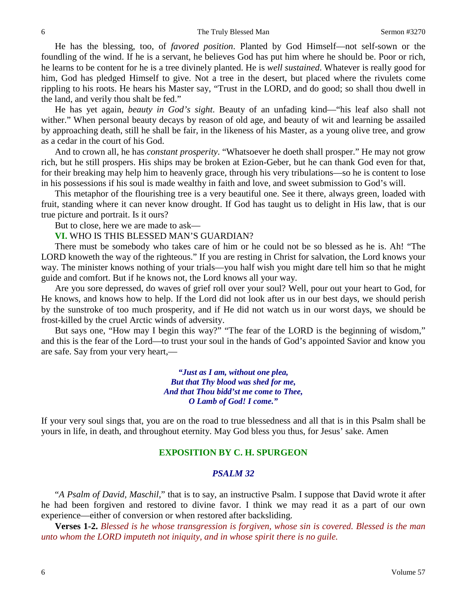He has the blessing, too, of *favored position*. Planted by God Himself—not self-sown or the foundling of the wind. If he is a servant, he believes God has put him where he should be. Poor or rich, he learns to be content for he is a tree divinely planted. He is *well sustained*. Whatever is really good for him, God has pledged Himself to give. Not a tree in the desert, but placed where the rivulets come rippling to his roots. He hears his Master say, "Trust in the LORD, and do good; so shall thou dwell in the land, and verily thou shalt be fed."

He has yet again, *beauty in God's sight*. Beauty of an unfading kind—"his leaf also shall not wither." When personal beauty decays by reason of old age, and beauty of wit and learning be assailed by approaching death, still he shall be fair, in the likeness of his Master, as a young olive tree, and grow as a cedar in the court of his God.

And to crown all, he has *constant prosperity*. "Whatsoever he doeth shall prosper." He may not grow rich, but he still prospers. His ships may be broken at Ezion-Geber, but he can thank God even for that, for their breaking may help him to heavenly grace, through his very tribulations—so he is content to lose in his possessions if his soul is made wealthy in faith and love, and sweet submission to God's will.

This metaphor of the flourishing tree is a very beautiful one. See it there, always green, loaded with fruit, standing where it can never know drought. If God has taught us to delight in His law, that is our true picture and portrait. Is it ours?

But to close, here we are made to ask—

#### **VI.** WHO IS THIS BLESSED MAN'S GUARDIAN?

There must be somebody who takes care of him or he could not be so blessed as he is. Ah! "The LORD knoweth the way of the righteous." If you are resting in Christ for salvation, the Lord knows your way. The minister knows nothing of your trials—you half wish you might dare tell him so that he might guide and comfort. But if he knows not, the Lord knows all your way.

Are you sore depressed, do waves of grief roll over your soul? Well, pour out your heart to God, for He knows, and knows how to help. If the Lord did not look after us in our best days, we should perish by the sunstroke of too much prosperity, and if He did not watch us in our worst days, we should be frost-killed by the cruel Arctic winds of adversity.

But says one, "How may I begin this way?" "The fear of the LORD is the beginning of wisdom," and this is the fear of the Lord—to trust your soul in the hands of God's appointed Savior and know you are safe. Say from your very heart,—

> *"Just as I am, without one plea, But that Thy blood was shed for me, And that Thou bidd'st me come to Thee, O Lamb of God! I come."*

If your very soul sings that, you are on the road to true blessedness and all that is in this Psalm shall be yours in life, in death, and throughout eternity. May God bless you thus, for Jesus' sake. Amen

## **EXPOSITION BY C. H. SPURGEON**

### *PSALM 32*

"*A Psalm of David, Maschil*," that is to say, an instructive Psalm. I suppose that David wrote it after he had been forgiven and restored to divine favor. I think we may read it as a part of our own experience—either of conversion or when restored after backsliding.

**Verses 1-2.** *Blessed is he whose transgression is forgiven, whose sin is covered. Blessed is the man unto whom the LORD imputeth not iniquity, and in whose spirit there is no guile.*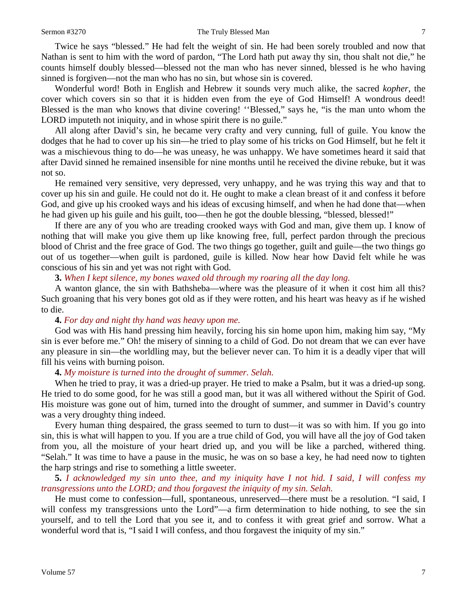#### Sermon #3270 The Truly Blessed Man 7

Twice he says "blessed." He had felt the weight of sin. He had been sorely troubled and now that Nathan is sent to him with the word of pardon, "The Lord hath put away thy sin, thou shalt not die," he counts himself doubly blessed—blessed not the man who has never sinned, blessed is he who having sinned is forgiven—not the man who has no sin, but whose sin is covered.

Wonderful word! Both in English and Hebrew it sounds very much alike, the sacred *kopher*, the cover which covers sin so that it is hidden even from the eye of God Himself! A wondrous deed! Blessed is the man who knows that divine covering! ''Blessed," says he, "is the man unto whom the LORD imputeth not iniquity, and in whose spirit there is no guile."

All along after David's sin, he became very crafty and very cunning, full of guile. You know the dodges that he had to cover up his sin—he tried to play some of his tricks on God Himself, but he felt it was a mischievous thing to do—he was uneasy, he was unhappy. We have sometimes heard it said that after David sinned he remained insensible for nine months until he received the divine rebuke, but it was not so.

He remained very sensitive, very depressed, very unhappy, and he was trying this way and that to cover up his sin and guile. He could not do it. He ought to make a clean breast of it and confess it before God, and give up his crooked ways and his ideas of excusing himself, and when he had done that—when he had given up his guile and his guilt, too—then he got the double blessing, "blessed, blessed!"

If there are any of you who are treading crooked ways with God and man, give them up. I know of nothing that will make you give them up like knowing free, full, perfect pardon through the precious blood of Christ and the free grace of God. The two things go together, guilt and guile—the two things go out of us together—when guilt is pardoned, guile is killed. Now hear how David felt while he was conscious of his sin and yet was not right with God.

**3.** *When I kept silence, my bones waxed old through my roaring all the day long.* 

A wanton glance, the sin with Bathsheba—where was the pleasure of it when it cost him all this? Such groaning that his very bones got old as if they were rotten, and his heart was heavy as if he wished to die.

#### **4.** *For day and night thy hand was heavy upon me.*

God was with His hand pressing him heavily, forcing his sin home upon him, making him say, "My sin is ever before me." Oh! the misery of sinning to a child of God. Do not dream that we can ever have any pleasure in sin—the worldling may, but the believer never can. To him it is a deadly viper that will fill his veins with burning poison.

## **4.** *My moisture is turned into the drought of summer. Selah.*

When he tried to pray, it was a dried-up prayer. He tried to make a Psalm, but it was a dried-up song. He tried to do some good, for he was still a good man, but it was all withered without the Spirit of God. His moisture was gone out of him, turned into the drought of summer, and summer in David's country was a very droughty thing indeed.

Every human thing despaired, the grass seemed to turn to dust—it was so with him. If you go into sin, this is what will happen to you. If you are a true child of God, you will have all the joy of God taken from you, all the moisture of your heart dried up, and you will be like a parched, withered thing. "Selah." It was time to have a pause in the music, he was on so base a key, he had need now to tighten the harp strings and rise to something a little sweeter.

**5.** *I acknowledged my sin unto thee, and my iniquity have I not hid. I said, I will confess my transgressions unto the LORD; and thou forgavest the iniquity of my sin. Selah.* 

He must come to confession—full, spontaneous, unreserved—there must be a resolution. "I said, I will confess my transgressions unto the Lord"—a firm determination to hide nothing, to see the sin yourself, and to tell the Lord that you see it, and to confess it with great grief and sorrow. What a wonderful word that is, "I said I will confess, and thou forgavest the iniquity of my sin."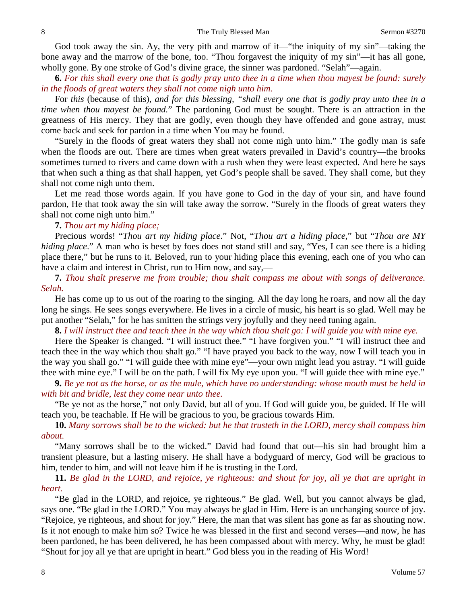God took away the sin. Ay, the very pith and marrow of it—"the iniquity of my sin"—taking the bone away and the marrow of the bone, too. "Thou forgavest the iniquity of my sin"—it has all gone, wholly gone. By one stroke of God's divine grace, the sinner was pardoned. "Selah"—again.

**6.** *For this shall every one that is godly pray unto thee in a time when thou mayest be found: surely in the floods of great waters they shall not come nigh unto him.* 

For *this* (because of this), *and for this blessing, "shall every one that is godly pray unto thee in a time when thou mayest be found.*" The pardoning God must be sought. There is an attraction in the greatness of His mercy. They that are godly, even though they have offended and gone astray, must come back and seek for pardon in a time when You may be found.

"Surely in the floods of great waters they shall not come nigh unto him." The godly man is safe when the floods are out. There are times when great waters prevailed in David's country—the brooks sometimes turned to rivers and came down with a rush when they were least expected. And here he says that when such a thing as that shall happen, yet God's people shall be saved. They shall come, but they shall not come nigh unto them.

Let me read those words again. If you have gone to God in the day of your sin, and have found pardon, He that took away the sin will take away the sorrow. "Surely in the floods of great waters they shall not come nigh unto him."

#### **7.** *Thou art my hiding place;*

Precious words! "*Thou art my hiding place*." Not, "*Thou art a hiding place*," but "*Thou are MY hiding place*." A man who is beset by foes does not stand still and say, "Yes, I can see there is a hiding place there," but he runs to it. Beloved, run to your hiding place this evening, each one of you who can have a claim and interest in Christ, run to Him now, and say,—

**7.** *Thou shalt preserve me from trouble; thou shalt compass me about with songs of deliverance. Selah.* 

He has come up to us out of the roaring to the singing. All the day long he roars, and now all the day long he sings. He sees songs everywhere. He lives in a circle of music, his heart is so glad. Well may he put another "Selah," for he has smitten the strings very joyfully and they need tuning again.

**8.** *I will instruct thee and teach thee in the way which thou shalt go: I will guide you with mine eye.* 

Here the Speaker is changed. "I will instruct thee." "I have forgiven you." "I will instruct thee and teach thee in the way which thou shalt go." "I have prayed you back to the way, now I will teach you in the way you shall go." "I will guide thee with mine eye"—your own might lead you astray. "I will guide thee with mine eye." I will be on the path. I will fix My eye upon you. "I will guide thee with mine eye."

**9.** *Be ye not as the horse, or as the mule, which have no understanding: whose mouth must be held in with bit and bridle, lest they come near unto thee.* 

"Be ye not as the horse," not only David, but all of you. If God will guide you, be guided. If He will teach you, be teachable. If He will be gracious to you, be gracious towards Him.

**10.** *Many sorrows shall be to the wicked: but he that trusteth in the LORD, mercy shall compass him about.* 

"Many sorrows shall be to the wicked." David had found that out—his sin had brought him a transient pleasure, but a lasting misery. He shall have a bodyguard of mercy, God will be gracious to him, tender to him, and will not leave him if he is trusting in the Lord.

**11.** *Be glad in the LORD, and rejoice, ye righteous: and shout for joy, all ye that are upright in heart.* 

"Be glad in the LORD, and rejoice, ye righteous." Be glad. Well, but you cannot always be glad, says one. "Be glad in the LORD." You may always be glad in Him. Here is an unchanging source of joy. "Rejoice, ye righteous, and shout for joy." Here, the man that was silent has gone as far as shouting now. Is it not enough to make him so? Twice he was blessed in the first and second verses—and now, he has been pardoned, he has been delivered, he has been compassed about with mercy. Why, he must be glad! "Shout for joy all ye that are upright in heart." God bless you in the reading of His Word!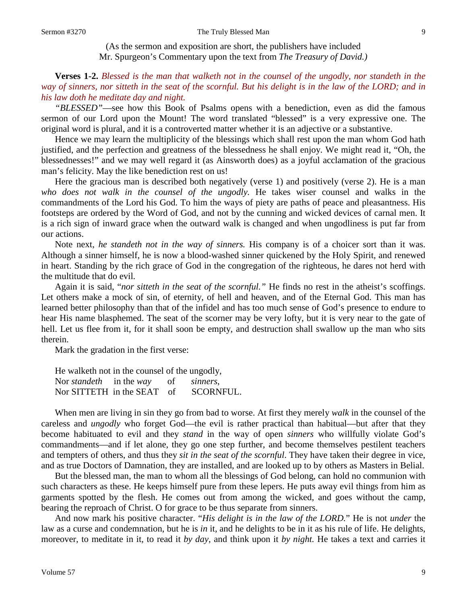(As the sermon and exposition are short, the publishers have included Mr. Spurgeon's Commentary upon the text from *The Treasury of David.)*

**Verses 1-2.** *Blessed is the man that walketh not in the counsel of the ungodly, nor standeth in the way of sinners, nor sitteth in the seat of the scornful. But his delight is in the law of the LORD; and in his law doth he meditate day and night.*

*"BLESSED"*—see how this Book of Psalms opens with a benediction, even as did the famous sermon of our Lord upon the Mount! The word translated "blessed" is a very expressive one. The original word is plural, and it is a controverted matter whether it is an adjective or a substantive.

Hence we may learn the multiplicity of the blessings which shall rest upon the man whom God hath justified, and the perfection and greatness of the blessedness he shall enjoy. We might read it, "Oh, the blessednesses!" and we may well regard it (as Ainsworth does) as a joyful acclamation of the gracious man's felicity. May the like benediction rest on us!

Here the gracious man is described both negatively (verse 1) and positively (verse 2). He is a man *who does not walk in the counsel of the ungodly.* He takes wiser counsel and walks in the commandments of the Lord his God. To him the ways of piety are paths of peace and pleasantness. His footsteps are ordered by the Word of God, and not by the cunning and wicked devices of carnal men. It is a rich sign of inward grace when the outward walk is changed and when ungodliness is put far from our actions.

Note next, *he standeth not in the way of sinners.* His company is of a choicer sort than it was. Although a sinner himself, he is now a blood-washed sinner quickened by the Holy Spirit, and renewed in heart. Standing by the rich grace of God in the congregation of the righteous, he dares not herd with the multitude that do evil.

Again it is said, "*nor sitteth in the seat of the scornful."* He finds no rest in the atheist's scoffings. Let others make a mock of sin, of eternity, of hell and heaven, and of the Eternal God. This man has learned better philosophy than that of the infidel and has too much sense of God's presence to endure to hear His name blasphemed. The seat of the scorner may be very lofty, but it is very near to the gate of hell. Let us flee from it, for it shall soon be empty, and destruction shall swallow up the man who sits therein.

Mark the gradation in the first verse:

He walketh not in the counsel of the ungodly, Nor *standeth* in the *way* of *sinners*, Nor SITTETH in the SEAT of SCORNFUL.

When men are living in sin they go from bad to worse. At first they merely *walk* in the counsel of the careless and *ungodly* who forget God—the evil is rather practical than habitual—but after that they become habituated to evil and they *stand* in the way of open *sinners* who willfully violate God's commandments—and if let alone, they go one step further, and become themselves pestilent teachers and tempters of others, and thus they *sit in the seat of the scornful*. They have taken their degree in vice, and as true Doctors of Damnation, they are installed, and are looked up to by others as Masters in Belial.

But the blessed man, the man to whom all the blessings of God belong, can hold no communion with such characters as these. He keeps himself pure from these lepers. He puts away evil things from him as garments spotted by the flesh. He comes out from among the wicked, and goes without the camp, bearing the reproach of Christ. O for grace to be thus separate from sinners.

And now mark his positive character. "*His delight is in the law of the LORD.*" He is not *under* the law as a curse and condemnation, but he is *in* it, and he delights to be in it as his rule of life. He delights, moreover, to meditate in it, to read it *by day*, and think upon it *by night.* He takes a text and carries it